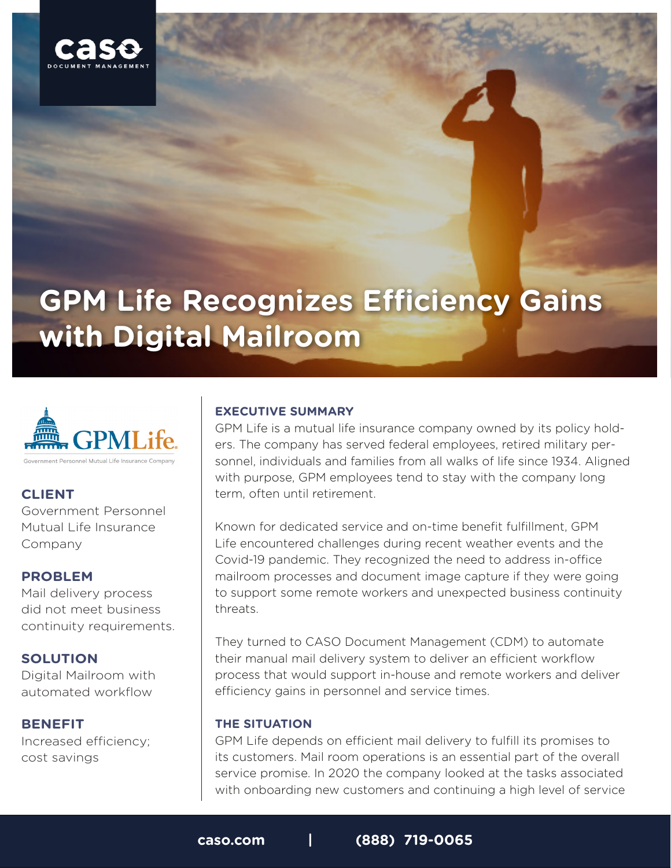

# **GPM Life Recognizes Efficiency Gains with Digital Mailroom**



## **CLIENT**

Government Personnel Mutual Life Insurance Company

#### **PROBLEM**

Mail delivery process did not meet business continuity requirements.

#### **SOLUTION**

Digital Mailroom with automated workflow

#### **BENEFIT**

Increased efficiency; cost savings

#### **EXECUTIVE SUMMARY**

GPM Life is a mutual life insurance company owned by its policy holders. The company has served federal employees, retired military personnel, individuals and families from all walks of life since 1934. Aligned with purpose, GPM employees tend to stay with the company long term, often until retirement.

Known for dedicated service and on-time benefit fulfillment, GPM Life encountered challenges during recent weather events and the Covid-19 pandemic. They recognized the need to address in-office mailroom processes and document image capture if they were going to support some remote workers and unexpected business continuity threats.

They turned to CASO Document Management (CDM) to automate their manual mail delivery system to deliver an efficient workflow process that would support in-house and remote workers and deliver efficiency gains in personnel and service times.

#### **THE SITUATION**

GPM Life depends on efficient mail delivery to fulfill its promises to its customers. Mail room operations is an essential part of the overall service promise. In 2020 the company looked at the tasks associated with onboarding new customers and continuing a high level of service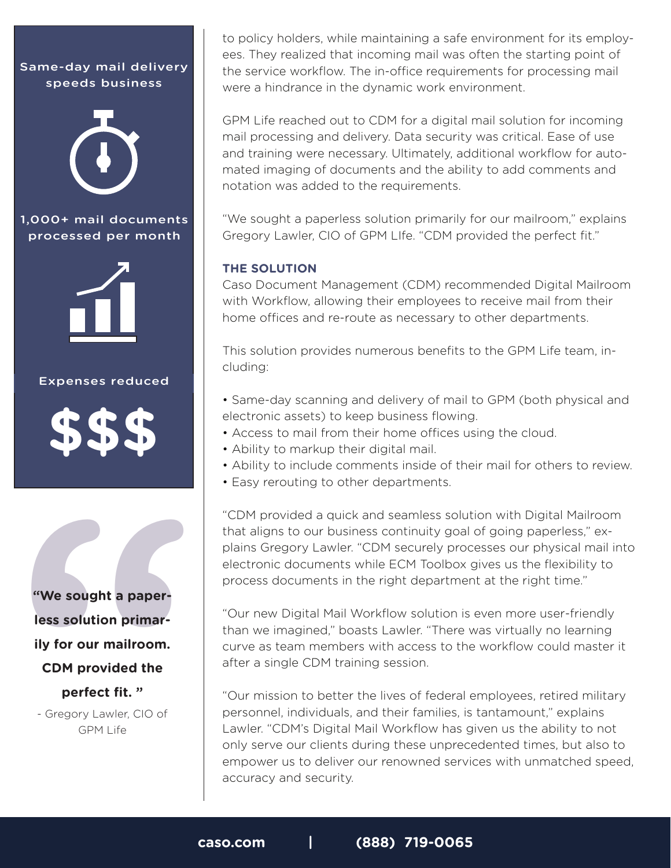Same-day mail delivery speeds business



1,000+ mail documents processed per month



#### Expenses reduced



**Example 18 Solution Primar-<br>
<b>Example 25 Solution Primar-**<br> **CDM provided the perfect fit. "**<br>
- Gregory Lawler, CIO of GPM Life **"We sought a paperless solution primarily for our mailroom. CDM provided the perfect fit. "**

- Gregory Lawler, CIO of GPM Life

to policy holders, while maintaining a safe environment for its employees. They realized that incoming mail was often the starting point of the service workflow. The in-office requirements for processing mail were a hindrance in the dynamic work environment.

GPM Life reached out to CDM for a digital mail solution for incoming mail processing and delivery. Data security was critical. Ease of use and training were necessary. Ultimately, additional workflow for automated imaging of documents and the ability to add comments and notation was added to the requirements.

"We sought a paperless solution primarily for our mailroom," explains Gregory Lawler, CIO of GPM LIfe. "CDM provided the perfect fit."

### **THE SOLUTION**

Caso Document Management (CDM) recommended Digital Mailroom with Workflow, allowing their employees to receive mail from their home offices and re-route as necessary to other departments.

This solution provides numerous benefits to the GPM Life team, including:

- Same-day scanning and delivery of mail to GPM (both physical and electronic assets) to keep business flowing.
- Access to mail from their home offices using the cloud.
- Ability to markup their digital mail.
- Ability to include comments inside of their mail for others to review.
- Easy rerouting to other departments.

"CDM provided a quick and seamless solution with Digital Mailroom that aligns to our business continuity goal of going paperless," explains Gregory Lawler. "CDM securely processes our physical mail into electronic documents while ECM Toolbox gives us the flexibility to process documents in the right department at the right time."

"Our new Digital Mail Workflow solution is even more user-friendly than we imagined," boasts Lawler. "There was virtually no learning curve as team members with access to the workflow could master it after a single CDM training session.

"Our mission to better the lives of federal employees, retired military personnel, individuals, and their families, is tantamount," explains Lawler. "CDM's Digital Mail Workflow has given us the ability to not only serve our clients during these unprecedented times, but also to empower us to deliver our renowned services with unmatched speed, accuracy and security.